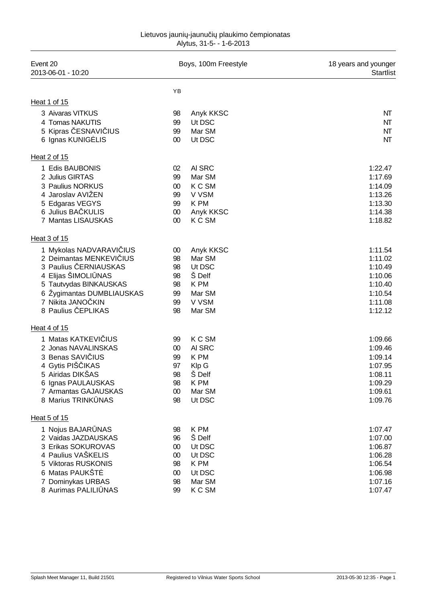| Event 20<br>2013-06-01 - 10:20                                                                                                                                                                     | Boys, 100m Freestyle                                 |                                                                                | 18 years and younger<br><b>Startlist</b>                                             |
|----------------------------------------------------------------------------------------------------------------------------------------------------------------------------------------------------|------------------------------------------------------|--------------------------------------------------------------------------------|--------------------------------------------------------------------------------------|
|                                                                                                                                                                                                    | YB                                                   |                                                                                |                                                                                      |
| Heat 1 of 15                                                                                                                                                                                       |                                                      |                                                                                |                                                                                      |
| 3 Aivaras VITKUS<br>4 Tomas NAKUTIS<br>5 Kipras ESNAVI IUS<br>6 Ignas KUNIG LIS                                                                                                                    | 98<br>99<br>99<br>$00\,$                             | Anyk KKSC<br>Ut DSC<br>Mar SM<br>Ut DSC                                        | NT<br>NT<br>NT<br>NT                                                                 |
| Heat 2 of 15                                                                                                                                                                                       |                                                      |                                                                                |                                                                                      |
| 1 Edis BAUBONIS<br>2 Julius GIRTAS<br>3 Paulius NORKUS<br>4 Jaroslav AVIŽEN<br>5 Edgaras VEGYS<br>6 Julius BA KULIS<br>7 Mantas LISAUSKAS                                                          | 02<br>99<br>$00\,$<br>99<br>99<br>00<br>$00\,$       | AI SRC<br>Mar SM<br>K C SM<br>V VSM<br>K PM<br>Anyk KKSC<br>K C SM             | 1:22.47<br>1:17.69<br>1:14.09<br>1:13.26<br>1:13.30<br>1:14.38<br>1:18.82            |
| Heat 3 of 15                                                                                                                                                                                       |                                                      |                                                                                |                                                                                      |
| 1 Mykolas NADVARAVI IUS<br>2 Deimantas MENKEVI IUS<br>3 Paulius ERNIAUSKAS<br>4 Elijas ŠIMOLI NAS<br>5 Tautvydas BINKAUSKAS<br>6 Žygimantas DUMBLIAUSKAS<br>7 Nikita JANO KIN<br>8 Paulius EPLIKAS | 00<br>98<br>98<br>98<br>98<br>99<br>99<br>98         | Anyk KKSC<br>Mar SM<br>Ut DSC<br>Š Delf<br>K PM<br>Mar SM<br>V VSM<br>Mar SM   | 1:11.54<br>1:11.02<br>1:10.49<br>1:10.06<br>1:10.40<br>1:10.54<br>1:11.08<br>1:12.12 |
| Heat 4 of 15                                                                                                                                                                                       |                                                      |                                                                                |                                                                                      |
| 1 Matas KATKEVI IUS<br>2 Jonas NAVALINSKAS<br>3 Benas SAVI IUS<br>4 Gytis PIŠ IKAS<br>5 Airidas DIKŠAS<br>6 Ignas PAULAUSKAS<br>7 Armantas GAJAUSKAS<br>8 Marius TRINK NAS                         | 99<br>00<br>99<br>97<br>98<br>98<br>00<br>98         | K C SM<br>AI SRC<br>K PM<br>Klp G<br><b>S</b> Delf<br>K PM<br>Mar SM<br>Ut DSC | 1:09.66<br>1:09.46<br>1:09.14<br>1:07.95<br>1:08.11<br>1:09.29<br>1:09.61<br>1:09.76 |
| Heat 5 of 15                                                                                                                                                                                       |                                                      |                                                                                |                                                                                      |
| 1 Nojus BAJAR NAS<br>2 Vaidas JAZDAUSKAS<br>3 Erikas SOKUROVAS<br>4 Paulius VAŠKELIS<br>5 Viktoras RUSKONIS<br>6 Matas PAUKŠT<br>7 Dominykas URBAS<br>8 Aurimas PALILI NAS                         | 98<br>96<br>$00\,$<br>$00\,$<br>98<br>00<br>98<br>99 | K PM<br>Š Delf<br>Ut DSC<br>Ut DSC<br>K PM<br>Ut DSC<br>Mar SM<br>K C SM       | 1:07.47<br>1:07.00<br>1:06.87<br>1:06.28<br>1:06.54<br>1:06.98<br>1:07.16<br>1:07.47 |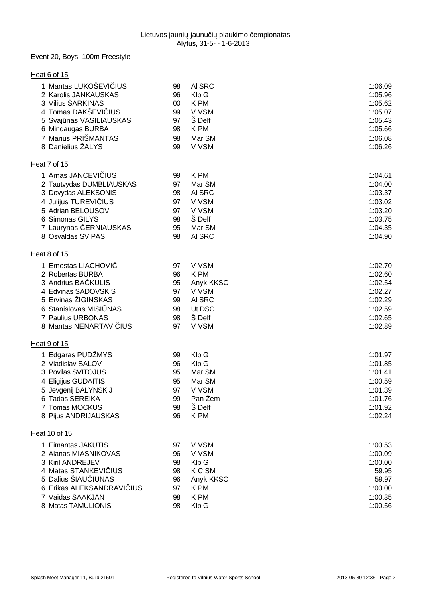## Event 20, Boys, 100m Freestyle

| Heat 6 of 15              |        |           |         |
|---------------------------|--------|-----------|---------|
| 1 Mantas LUKOŠEVI IUS     | 98     | AI SRC    | 1:06.09 |
| 2 Karolis JANKAUSKAS      | 96     | Klp G     | 1:05.96 |
| 3 Vilius ŠARKINAS         | $00\,$ | K PM      | 1:05.62 |
| 4 Tomas DAKŠEVI IUS       | 99     | V VSM     | 1:05.07 |
| 5 Svaj nas VASILIAUSKAS   | 97     | Š Delf    | 1:05.43 |
| 6 Mindaugas BURBA         | 98     | K PM      | 1:05.66 |
| 7 Marius PRIŠMANTAS       | 98     | Mar SM    | 1:06.08 |
| 8 Danielius ŽALYS         | 99     | V VSM     | 1:06.26 |
| Heat 7 of 15              |        |           |         |
| 1 Arnas JANCEVI IUS       | 99     | K PM      | 1:04.61 |
| 2 Tautvydas DUMBLIAUSKAS  | 97     | Mar SM    | 1:04.00 |
| 3 Dovydas ALEKSONIS       | 98     | AI SRC    | 1:03.37 |
| 4 Julijus TUREVI IUS      | 97     | V VSM     | 1:03.02 |
| 5 Adrian BELOUSOV         | 97     | V VSM     | 1:03.20 |
| 6 Simonas GILYS           | 98     | Š Delf    | 1:03.75 |
| 7 Laurynas ERNIAUSKAS     | 95     | Mar SM    | 1:04.35 |
| 8 Osvaldas SVIPAS         | 98     | AI SRC    | 1:04.90 |
| Heat 8 of 15              |        |           |         |
| 1 Ernestas LIACHOVI       | 97     | V VSM     | 1:02.70 |
| 2 Robertas BURBA          | 96     | K PM      | 1:02.60 |
| 3 Andrius BA KULIS        | 95     | Anyk KKSC | 1:02.54 |
| 4 Edvinas SADOVSKIS       | 97     | V VSM     | 1:02.27 |
| 5 Ervinas ŽIGINSKAS       | 99     | AI SRC    | 1:02.29 |
| 6 Stanislovas MISI NAS    | 98     | Ut DSC    | 1:02.59 |
| 7 Paulius URBONAS         | 98     | Š Delf    | 1:02.65 |
| 8 Mantas NENARTAVI IUS    | 97     | V VSM     | 1:02.89 |
| Heat 9 of 15              |        |           |         |
| 1 Edgaras PUDŽMYS         | 99     | Klp G     | 1:01.97 |
| 2 Vladislav SALOV         | 96     | Klp G     | 1:01.85 |
| 3 Povilas SVITOJUS        | 95     | Mar SM    | 1:01.41 |
| 4 Eligijus GUDAITIS       | 95     | Mar SM    | 1:00.59 |
| 5 Jevgenij BALYNSKIJ      | 97     | V VSM     | 1:01.39 |
| 6 Tadas SEREIKA           | 99     | Pan Žem   | 1:01.76 |
| 7 Tomas MOCKUS            | 98     | Š Delf    | 1:01.92 |
| 8 Pijus ANDRIJAUSKAS      | 96     | K PM      | 1:02.24 |
| Heat 10 of 15             |        |           |         |
| 1 Eimantas JAKUTIS        | 97     | V VSM     | 1:00.53 |
| 2 Alanas MIASNIKOVAS      | 96     | V VSM     | 1:00.09 |
| 3 Kiril ANDREJEV          | 98     | Klp G     | 1:00.00 |
| 4 Matas STANKEVI IUS      | 98     | K C SM    | 59.95   |
| 5 Dalius ŠIAU I NAS       | 96     | Anyk KKSC | 59.97   |
| 6 Erikas ALEKSANDRAVI IUS | 97     | K PM      | 1:00.00 |
| 7 Vaidas SAAKJAN          | 98     | K PM      | 1:00.35 |
| 8 Matas TAMULIONIS        | 98     | Klp G     | 1:00.56 |